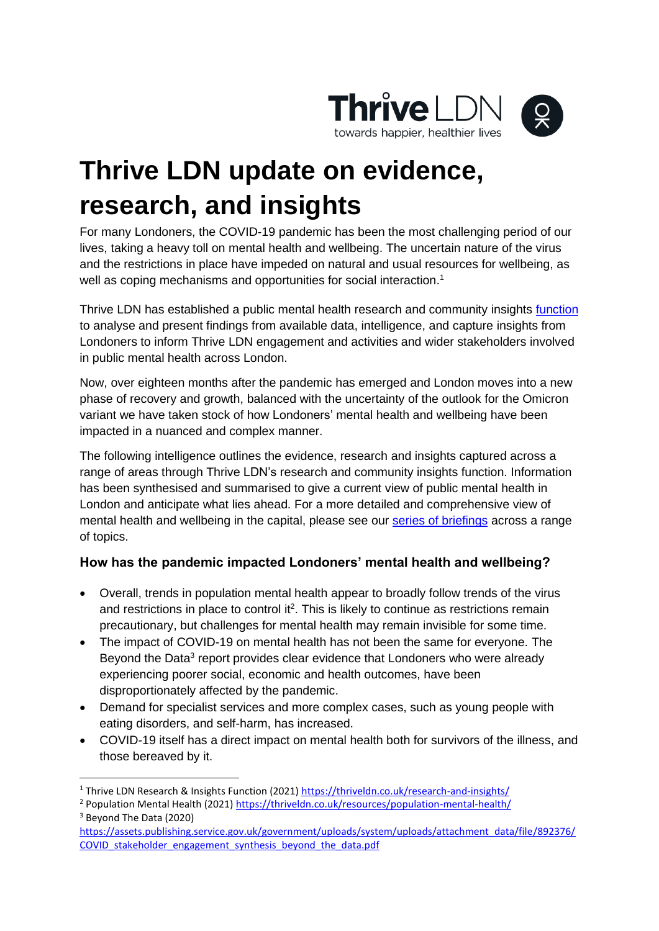

## **Thrive LDN update on evidence, research, and insights**

For many Londoners, the COVID-19 pandemic has been the most challenging period of our lives, taking a heavy toll on mental health and wellbeing. The uncertain nature of the virus and the restrictions in place have impeded on natural and usual resources for wellbeing, as well as coping mechanisms and opportunities for social interaction.<sup>1</sup>

Thrive LDN has established a public mental health research and community insights [function](https://thriveldn.co.uk/research-and-insights/) to analyse and present findings from available data, intelligence, and capture insights from Londoners to inform Thrive LDN engagement and activities and wider stakeholders involved in public mental health across London.

Now, over eighteen months after the pandemic has emerged and London moves into a new phase of recovery and growth, balanced with the uncertainty of the outlook for the Omicron variant we have taken stock of how Londoners' mental health and wellbeing have been impacted in a nuanced and complex manner.

The following intelligence outlines the evidence, research and insights captured across a range of areas through Thrive LDN's research and community insights function. Information has been synthesised and summarised to give a current view of public mental health in London and anticipate what lies ahead. For a more detailed and comprehensive view of mental health and wellbeing in the capital, please see our series of [briefings](https://thriveldn.co.uk/resources/the-impact-of-covid-19-on-londoners-mental-health-and-wellbeing/) across a range of topics.

## **How has the pandemic impacted Londoners' mental health and wellbeing?**

- Overall, trends in population mental health appear to broadly follow trends of the virus and restrictions in place to control it<sup>2</sup>. This is likely to continue as restrictions remain precautionary, but challenges for mental health may remain invisible for some time.
- The impact of COVID-19 on mental health has not been the same for everyone. The Beyond the Data<sup>3</sup> report provides clear evidence that Londoners who were already experiencing poorer social, economic and health outcomes, have been disproportionately affected by the pandemic.
- Demand for specialist services and more complex cases, such as young people with eating disorders, and self-harm, has increased.
- COVID-19 itself has a direct impact on mental health both for survivors of the illness, and those bereaved by it.

<sup>1</sup> Thrive LDN Research & Insights Function (2021[\) https://thriveldn.co.uk/research-and-insights/](https://thriveldn.co.uk/research-and-insights/)

<sup>&</sup>lt;sup>2</sup> Population Mental Health (2021)<https://thriveldn.co.uk/resources/population-mental-health/> <sup>3</sup> Beyond The Data (2020)

[https://assets.publishing.service.gov.uk/government/uploads/system/uploads/attachment\\_data/file/892376/](https://assets.publishing.service.gov.uk/government/uploads/system/uploads/attachment_data/file/892376/COVID_stakeholder_engagement_synthesis_beyond_the_data.pdf) COVID stakeholder engagement synthesis beyond the data.pdf